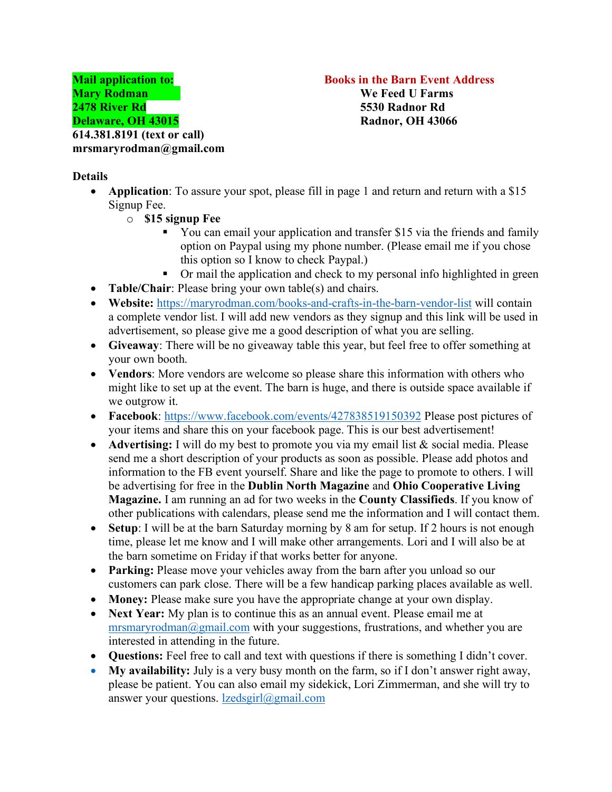**Mail application to: Books in the Barn Event Address** 

## **Details**

- **Application**: To assure your spot, please fill in page 1 and return and return with a \$15 Signup Fee.
	- o **\$15 signup Fee**
		- You can email your application and transfer \$15 via the friends and family option on Paypal using my phone number. (Please email me if you chose this option so I know to check Paypal.)
		- Or mail the application and check to my personal info highlighted in green
- **Table/Chair**: Please bring your own table(s) and chairs.
- **Website:** https://maryrodman.com/books-and-crafts-in-the-barn-vendor-list will contain a complete vendor list. I will add new vendors as they signup and this link will be used in advertisement, so please give me a good description of what you are selling.
- **Giveaway**: There will be no giveaway table this year, but feel free to offer something at your own booth.
- **Vendors**: More vendors are welcome so please share this information with others who might like to set up at the event. The barn is huge, and there is outside space available if we outgrow it.
- **Facebook**: https://www.facebook.com/events/427838519150392 Please post pictures of your items and share this on your facebook page. This is our best advertisement!
- **Advertising:** I will do my best to promote you via my email list & social media. Please send me a short description of your products as soon as possible. Please add photos and information to the FB event yourself. Share and like the page to promote to others. I will be advertising for free in the **Dublin North Magazine** and **Ohio Cooperative Living Magazine.** I am running an ad for two weeks in the **County Classifieds**. If you know of other publications with calendars, please send me the information and I will contact them.
- **Setup**: I will be at the barn Saturday morning by 8 am for setup. If 2 hours is not enough time, please let me know and I will make other arrangements. Lori and I will also be at the barn sometime on Friday if that works better for anyone.
- **Parking:** Please move your vehicles away from the barn after you unload so our customers can park close. There will be a few handicap parking places available as well.
- **Money:** Please make sure you have the appropriate change at your own display.
- **Next Year:** My plan is to continue this as an annual event. Please email me at mrsmaryrodman@gmail.com with your suggestions, frustrations, and whether you are interested in attending in the future.
- **Questions:** Feel free to call and text with questions if there is something I didn't cover.
- **My availability:** July is a very busy month on the farm, so if I don't answer right away, please be patient. You can also email my sidekick, Lori Zimmerman, and she will try to answer your questions.  $l$ *zedsgirl@gmail.com*